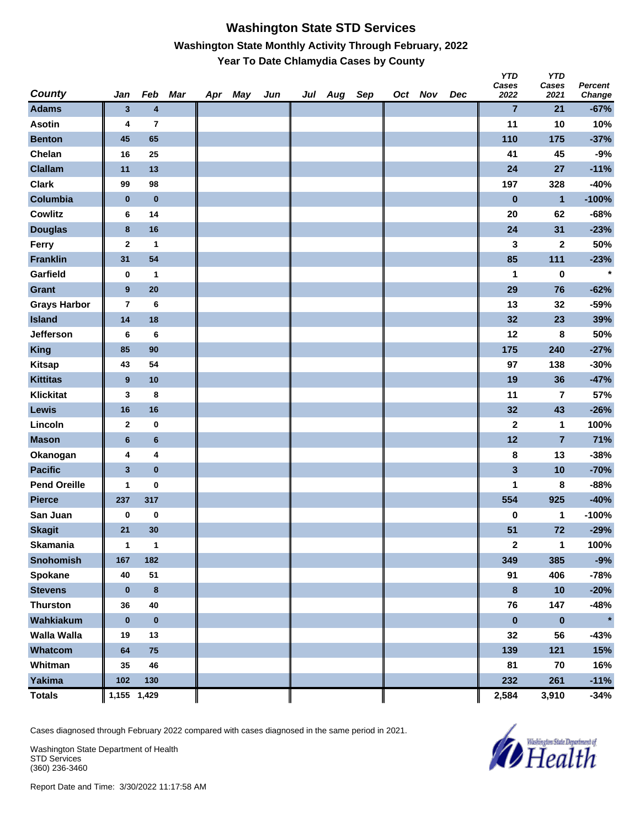#### **Washington State STD Services Washington State Monthly Activity Through February, 2022 Year To Date Chlamydia Cases by County**

| <b>County</b>       | Jan                     | Feb                     | Mar | Apr | May | Jun | Jul | Aug | Sep | Oct Nov | Dec | טוי<br>Cases<br>2022 | טוי<br>Cases<br>2021    | <b>Percent</b><br>Change |
|---------------------|-------------------------|-------------------------|-----|-----|-----|-----|-----|-----|-----|---------|-----|----------------------|-------------------------|--------------------------|
| <b>Adams</b>        | 3                       | 4                       |     |     |     |     |     |     |     |         |     | $\overline{7}$       | 21                      | $-67%$                   |
| <b>Asotin</b>       | 4                       | $\overline{\mathbf{r}}$ |     |     |     |     |     |     |     |         |     | 11                   | 10                      | 10%                      |
| <b>Benton</b>       | 45                      | 65                      |     |     |     |     |     |     |     |         |     | 110                  | 175                     | $-37%$                   |
| Chelan              | 16                      | 25                      |     |     |     |     |     |     |     |         |     | 41                   | 45                      | $-9%$                    |
| <b>Clallam</b>      | 11                      | 13                      |     |     |     |     |     |     |     |         |     | 24                   | 27                      | $-11%$                   |
| <b>Clark</b>        | 99                      | 98                      |     |     |     |     |     |     |     |         |     | 197                  | 328                     | $-40%$                   |
| Columbia            | $\bf{0}$                | $\bf{0}$                |     |     |     |     |     |     |     |         |     | $\bf{0}$             | $\blacksquare$          | $-100%$                  |
| <b>Cowlitz</b>      | 6                       | 14                      |     |     |     |     |     |     |     |         |     | 20                   | 62                      | $-68%$                   |
| <b>Douglas</b>      | 8                       | 16                      |     |     |     |     |     |     |     |         |     | 24                   | 31                      | $-23%$                   |
| Ferry               | $\mathbf 2$             | $\mathbf{1}$            |     |     |     |     |     |     |     |         |     | 3                    | $\mathbf{2}$            | 50%                      |
| <b>Franklin</b>     | 31                      | 54                      |     |     |     |     |     |     |     |         |     | 85                   | 111                     | $-23%$                   |
| Garfield            | 0                       | $\mathbf{1}$            |     |     |     |     |     |     |     |         |     | 1                    | $\bf{0}$                | $\star$                  |
| Grant               | $\boldsymbol{9}$        | 20                      |     |     |     |     |     |     |     |         |     | 29                   | 76                      | $-62%$                   |
| <b>Grays Harbor</b> | $\overline{7}$          | $\bf 6$                 |     |     |     |     |     |     |     |         |     | 13                   | 32                      | $-59%$                   |
| <b>Island</b>       | 14                      | 18                      |     |     |     |     |     |     |     |         |     | 32                   | 23                      | 39%                      |
| Jefferson           | 6                       | 6                       |     |     |     |     |     |     |     |         |     | 12                   | 8                       | 50%                      |
| <b>King</b>         | 85                      | 90                      |     |     |     |     |     |     |     |         |     | 175                  | 240                     | $-27%$                   |
| <b>Kitsap</b>       | 43                      | 54                      |     |     |     |     |     |     |     |         |     | 97                   | 138                     | $-30%$                   |
| <b>Kittitas</b>     | 9                       | 10                      |     |     |     |     |     |     |     |         |     | 19                   | 36                      | $-47%$                   |
| <b>Klickitat</b>    | 3                       | 8                       |     |     |     |     |     |     |     |         |     | 11                   | $\overline{\mathbf{r}}$ | 57%                      |
| Lewis               | 16                      | 16                      |     |     |     |     |     |     |     |         |     | 32                   | 43                      | $-26%$                   |
| Lincoln             | $\mathbf 2$             | $\pmb{0}$               |     |     |     |     |     |     |     |         |     | 2                    | 1                       | 100%                     |
| <b>Mason</b>        | $\bf 6$                 | $6\phantom{1}6$         |     |     |     |     |     |     |     |         |     | 12                   | $\overline{7}$          | 71%                      |
| Okanogan            | 4                       | 4                       |     |     |     |     |     |     |     |         |     | 8                    | 13                      | $-38%$                   |
| <b>Pacific</b>      | $\overline{\mathbf{3}}$ | $\pmb{0}$               |     |     |     |     |     |     |     |         |     | $\mathbf{3}$         | 10                      | $-70%$                   |
| <b>Pend Oreille</b> | 1                       | $\pmb{0}$               |     |     |     |     |     |     |     |         |     | 1                    | 8                       | $-88%$                   |
| <b>Pierce</b>       | 237                     | 317                     |     |     |     |     |     |     |     |         |     | 554                  | 925                     | $-40%$                   |
| San Juan            | 0                       | $\bf{0}$                |     |     |     |     |     |     |     |         |     | 0                    | 1                       | $-100%$                  |
| <b>Skagit</b>       | 21                      | 30                      |     |     |     |     |     |     |     |         |     | 51                   | 72                      | $-29%$                   |
| Skamania            | 1                       | $\overline{\mathbf{1}}$ |     |     |     |     |     |     |     |         |     | $\boldsymbol{2}$     | $\overline{1}$          | 100%                     |
| <b>Snohomish</b>    | 167                     | 182                     |     |     |     |     |     |     |     |         |     | 349                  | 385                     | $-9%$                    |
| Spokane             | 40                      | 51                      |     |     |     |     |     |     |     |         |     | 91                   | 406                     | $-78%$                   |
| <b>Stevens</b>      | $\bf{0}$                | $\bf8$                  |     |     |     |     |     |     |     |         |     | $\pmb{8}$            | 10                      | $-20%$                   |
| <b>Thurston</b>     | 36                      | 40                      |     |     |     |     |     |     |     |         |     | 76                   | 147                     | $-48%$                   |
| Wahkiakum           | $\pmb{0}$               | $\pmb{0}$               |     |     |     |     |     |     |     |         |     | $\pmb{0}$            | $\pmb{0}$               | $\star$                  |
| <b>Walla Walla</b>  | 19                      | 13                      |     |     |     |     |     |     |     |         |     | 32                   | 56                      | $-43%$                   |
| Whatcom             | 64                      | 75                      |     |     |     |     |     |     |     |         |     | 139                  | 121                     | 15%                      |
| Whitman             | 35                      | 46                      |     |     |     |     |     |     |     |         |     | 81                   | 70                      | 16%                      |
| Yakima              | 102                     | 130                     |     |     |     |     |     |     |     |         |     | 232                  | 261                     | $-11%$                   |
| <b>Totals</b>       | 1,155 1,429             |                         |     |     |     |     |     |     |     |         |     | 2,584                | 3,910                   | -34%                     |

Cases diagnosed through February 2022 compared with cases diagnosed in the same period in 2021.

Washington State Department of Health STD Services (360) 236-3460



*Y* 

*YTD*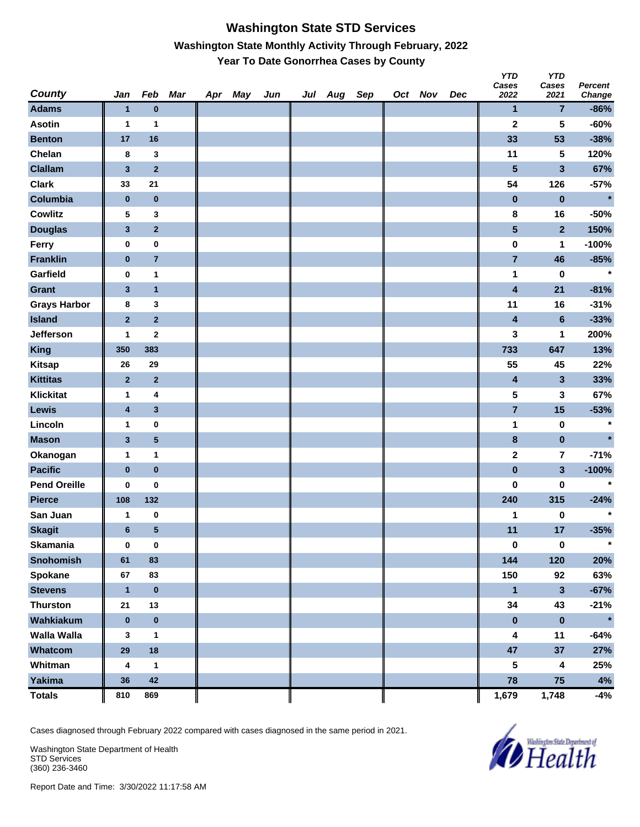### **Washington State STD Services Washington State Monthly Activity Through February, 2022 Year To Date Gonorrhea Cases by County**

| County              | Jan              | Feb                     | Mar | Apr May | Jun | Jul Aug Sep |  | Oct Nov | Dec | <b>YTD</b><br>Cases<br>2022 | <b>YTD</b><br>Cases<br>2021 | <b>Percent</b><br>Change |
|---------------------|------------------|-------------------------|-----|---------|-----|-------------|--|---------|-----|-----------------------------|-----------------------------|--------------------------|
| <b>Adams</b>        | $\mathbf{1}$     | $\bf{0}$                |     |         |     |             |  |         |     | 1                           | $\overline{7}$              | $-86%$                   |
| <b>Asotin</b>       | 1                | 1                       |     |         |     |             |  |         |     | $\mathbf 2$                 | 5                           | $-60%$                   |
| <b>Benton</b>       | 17               | 16                      |     |         |     |             |  |         |     | 33                          | 53                          | $-38%$                   |
| Chelan              | 8                | 3                       |     |         |     |             |  |         |     | 11                          | 5                           | 120%                     |
| <b>Clallam</b>      | $\mathbf{3}$     | $\mathbf 2$             |     |         |     |             |  |         |     | 5                           | 3                           | 67%                      |
| <b>Clark</b>        | 33               | 21                      |     |         |     |             |  |         |     | 54                          | 126                         | $-57%$                   |
| Columbia            | $\pmb{0}$        | $\pmb{0}$               |     |         |     |             |  |         |     | $\pmb{0}$                   | $\bf{0}$                    | $\star$                  |
| <b>Cowlitz</b>      | 5                | 3                       |     |         |     |             |  |         |     | 8                           | 16                          | $-50%$                   |
| <b>Douglas</b>      | $\mathbf{3}$     | $\mathbf 2$             |     |         |     |             |  |         |     | 5                           | $\mathbf{2}$                | 150%                     |
| Ferry               | $\pmb{0}$        | $\pmb{0}$               |     |         |     |             |  |         |     | $\pmb{0}$                   | 1                           | $-100%$                  |
| <b>Franklin</b>     | $\bf{0}$         | $\bf 7$                 |     |         |     |             |  |         |     | $\overline{7}$              | 46                          | $-85%$                   |
| Garfield            | 0                | 1                       |     |         |     |             |  |         |     | 1                           | $\bf{0}$                    | $\star$                  |
| <b>Grant</b>        | $\mathbf{3}$     | $\mathbf{1}$            |     |         |     |             |  |         |     | 4                           | 21                          | $-81%$                   |
| <b>Grays Harbor</b> | 8                | 3                       |     |         |     |             |  |         |     | 11                          | 16                          | $-31%$                   |
| <b>Island</b>       | $\bf{2}$         | $\mathbf 2$             |     |         |     |             |  |         |     | 4                           | $6\phantom{a}$              | $-33%$                   |
| Jefferson           | 1                | $\bf{2}$                |     |         |     |             |  |         |     | 3                           | 1                           | 200%                     |
| <b>King</b>         | 350              | 383                     |     |         |     |             |  |         |     | 733                         | 647                         | 13%                      |
| <b>Kitsap</b>       | 26               | 29                      |     |         |     |             |  |         |     | 55                          | 45                          | 22%                      |
| <b>Kittitas</b>     | $\bf{2}$         | $\overline{2}$          |     |         |     |             |  |         |     | 4                           | 3                           | 33%                      |
| <b>Klickitat</b>    | $\mathbf{1}$     | 4                       |     |         |     |             |  |         |     | 5                           | 3                           | 67%                      |
| Lewis               | $\boldsymbol{4}$ | $\mathbf{3}$            |     |         |     |             |  |         |     | $\overline{7}$              | 15                          | $-53%$                   |
| Lincoln             | 1                | $\pmb{0}$               |     |         |     |             |  |         |     | 1                           | $\bf{0}$                    | $\star$                  |
| <b>Mason</b>        | $\mathbf{3}$     | $\overline{\mathbf{5}}$ |     |         |     |             |  |         |     | 8                           | $\pmb{0}$                   | $\star$                  |
| Okanogan            | 1                | 1                       |     |         |     |             |  |         |     | $\mathbf 2$                 | $\overline{7}$              | $-71%$                   |
| <b>Pacific</b>      | $\pmb{0}$        | $\pmb{0}$               |     |         |     |             |  |         |     | $\pmb{0}$                   | 3                           | $-100%$                  |
| <b>Pend Oreille</b> | 0                | 0                       |     |         |     |             |  |         |     | 0                           | 0                           | $\star$                  |
| <b>Pierce</b>       | 108              | 132                     |     |         |     |             |  |         |     | 240                         | 315                         | $-24%$                   |
| San Juan            | 1                | $\bf{0}$                |     |         |     |             |  |         |     | 1                           | 0                           | $\star$                  |
| <b>Skagit</b>       | $\bf 6$          | ${\bf 5}$               |     |         |     |             |  |         |     | 11                          | 17                          | $-35%$                   |
| <b>Skamania</b>     | $\bf{0}$         | $\pmb{0}$               |     |         |     |             |  |         |     | $\pmb{0}$                   | $\pmb{0}$                   | $\star$                  |
| Snohomish           | 61               | 83                      |     |         |     |             |  |         |     | 144                         | 120                         | 20%                      |
| Spokane             | 67               | 83                      |     |         |     |             |  |         |     | 150                         | 92                          | 63%                      |
| <b>Stevens</b>      | $\mathbf{1}$     | $\pmb{0}$               |     |         |     |             |  |         |     | $\mathbf{1}$                | 3                           | $-67%$                   |
| <b>Thurston</b>     | 21               | 13                      |     |         |     |             |  |         |     | 34                          | 43                          | $-21%$                   |
| Wahkiakum           | $\pmb{0}$        | $\pmb{0}$               |     |         |     |             |  |         |     | $\pmb{0}$                   | $\pmb{0}$                   | $\star$                  |
| Walla Walla         | 3                | $\mathbf{1}$            |     |         |     |             |  |         |     | 4                           | 11                          | $-64%$                   |
| Whatcom             | 29               | 18                      |     |         |     |             |  |         |     | 47                          | 37                          | 27%                      |
| Whitman             | 4                | 1                       |     |         |     |             |  |         |     | 5                           | 4                           | 25%                      |
| <b>Yakima</b>       | 36               | 42                      |     |         |     |             |  |         |     | 78                          | 75                          | $4\%$                    |
| <b>Totals</b>       | 810              | 869                     |     |         |     |             |  |         |     | 1,679                       | 1,748                       | -4%                      |

Cases diagnosed through February 2022 compared with cases diagnosed in the same period in 2021.

Washington State Department of Health STD Services (360) 236-3460

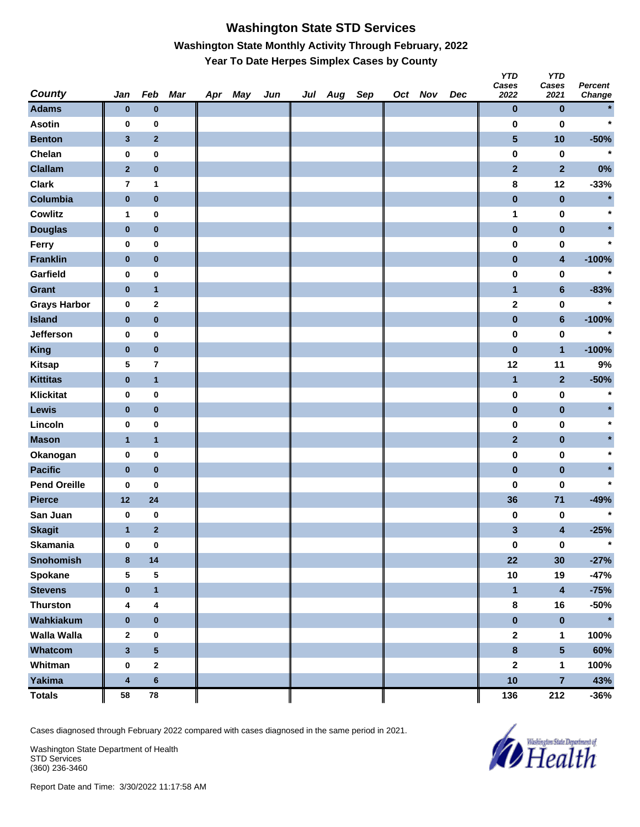# **Washington State STD Services Washington State Monthly Activity Through February, 2022 Year To Date Herpes Simplex Cases by County**

| <b>County</b>       | Jan                     | Feb                     | Mar | Apr May | Jun | Jul Aug Sep |  | Oct Nov | Dec | <b>YTD</b><br>Cases<br>2022 | <b>YTD</b><br>Cases<br>2021 | <b>Percent</b><br>Change |
|---------------------|-------------------------|-------------------------|-----|---------|-----|-------------|--|---------|-----|-----------------------------|-----------------------------|--------------------------|
| <b>Adams</b>        | $\bf{0}$                | $\bf{0}$                |     |         |     |             |  |         |     | $\pmb{0}$                   | $\bf{0}$                    |                          |
| <b>Asotin</b>       | 0                       | 0                       |     |         |     |             |  |         |     | $\pmb{0}$                   | $\bf{0}$                    | $\star$                  |
| <b>Benton</b>       | $\mathbf{3}$            | $\mathbf 2$             |     |         |     |             |  |         |     | $\overline{\mathbf{5}}$     | 10                          | $-50%$                   |
| Chelan              | $\pmb{0}$               | $\pmb{0}$               |     |         |     |             |  |         |     | $\pmb{0}$                   | $\pmb{0}$                   | $\star$                  |
| <b>Clallam</b>      | $\mathbf{2}$            | $\pmb{0}$               |     |         |     |             |  |         |     | $\overline{2}$              | $\overline{2}$              | $0\%$                    |
| <b>Clark</b>        | $\overline{7}$          | 1                       |     |         |     |             |  |         |     | 8                           | 12                          | $-33%$                   |
| Columbia            | $\pmb{0}$               | $\pmb{0}$               |     |         |     |             |  |         |     | $\pmb{0}$                   | $\pmb{0}$                   | $\star$                  |
| <b>Cowlitz</b>      | 1                       | $\bf{0}$                |     |         |     |             |  |         |     | 1                           | $\pmb{0}$                   | $\star$                  |
| <b>Douglas</b>      | $\pmb{0}$               | $\mathbf 0$             |     |         |     |             |  |         |     | $\pmb{0}$                   | $\pmb{0}$                   |                          |
| Ferry               | 0                       | $\pmb{0}$               |     |         |     |             |  |         |     | 0                           | $\pmb{0}$                   | $\star$                  |
| <b>Franklin</b>     | $\pmb{0}$               | $\pmb{0}$               |     |         |     |             |  |         |     | $\pmb{0}$                   | 4                           | $-100%$                  |
| Garfield            | 0                       | $\pmb{0}$               |     |         |     |             |  |         |     | $\pmb{0}$                   | $\pmb{0}$                   | $\star$                  |
| <b>Grant</b>        | $\bf{0}$                | $\mathbf{1}$            |     |         |     |             |  |         |     | $\mathbf{1}$                | $6\phantom{a}$              | $-83%$                   |
| <b>Grays Harbor</b> | $\pmb{0}$               | $\mathbf 2$             |     |         |     |             |  |         |     | $\mathbf 2$                 | $\pmb{0}$                   | $\star$                  |
| <b>Island</b>       | $\pmb{0}$               | $\pmb{0}$               |     |         |     |             |  |         |     | $\pmb{0}$                   | $\bf 6$                     | $-100%$                  |
| <b>Jefferson</b>    | 0                       | 0                       |     |         |     |             |  |         |     | $\pmb{0}$                   | $\pmb{0}$                   | $\star$                  |
| <b>King</b>         | $\pmb{0}$               | $\pmb{0}$               |     |         |     |             |  |         |     | $\pmb{0}$                   | $\overline{1}$              | $-100%$                  |
| <b>Kitsap</b>       | 5                       | $\overline{7}$          |     |         |     |             |  |         |     | 12                          | 11                          | 9%                       |
| <b>Kittitas</b>     | $\pmb{0}$               | $\mathbf{1}$            |     |         |     |             |  |         |     | $\mathbf{1}$                | $\mathbf{2}$                | $-50%$                   |
| <b>Klickitat</b>    | 0                       | $\pmb{0}$               |     |         |     |             |  |         |     | $\pmb{0}$                   | $\pmb{0}$                   | $\ast$                   |
| Lewis               | $\bf{0}$                | $\pmb{0}$               |     |         |     |             |  |         |     | $\pmb{0}$                   | $\pmb{0}$                   |                          |
| Lincoln             | 0                       | $\pmb{0}$               |     |         |     |             |  |         |     | 0                           | $\bf{0}$                    | $\star$                  |
| <b>Mason</b>        | $\mathbf{1}$            | $\mathbf{1}$            |     |         |     |             |  |         |     | $\mathbf{2}$                | $\pmb{0}$                   |                          |
| Okanogan            | $\pmb{0}$               | $\pmb{0}$               |     |         |     |             |  |         |     | $\pmb{0}$                   | $\pmb{0}$                   | $\star$                  |
| <b>Pacific</b>      | $\bf{0}$                | $\pmb{0}$               |     |         |     |             |  |         |     | $\pmb{0}$                   | $\pmb{0}$                   |                          |
| <b>Pend Oreille</b> | 0                       | 0                       |     |         |     |             |  |         |     | 0                           | 0                           | $\star$                  |
| <b>Pierce</b>       | 12                      | 24                      |     |         |     |             |  |         |     | 36                          | 71                          | $-49%$                   |
| San Juan            | 0                       | $\pmb{0}$               |     |         |     |             |  |         |     | 0                           | 0                           | $\star$                  |
| <b>Skagit</b>       | $\mathbf{1}$            | $\overline{2}$          |     |         |     |             |  |         |     | $\mathbf{3}$                | 4                           | $-25%$                   |
| <b>Skamania</b>     | $\pmb{0}$               | $\pmb{0}$               |     |         |     |             |  |         |     | $\pmb{0}$                   | $\pmb{0}$                   | $\star$                  |
| Snohomish           | $\bf8$                  | 14                      |     |         |     |             |  |         |     | 22                          | 30                          | $-27%$                   |
| Spokane             | 5                       | ${\bf 5}$               |     |         |     |             |  |         |     | $10$                        | 19                          | $-47%$                   |
| <b>Stevens</b>      | $\pmb{0}$               | $\mathbf{1}$            |     |         |     |             |  |         |     | $\mathbf{1}$                | $\overline{\mathbf{4}}$     | $-75%$                   |
| <b>Thurston</b>     | 4                       | $\overline{\mathbf{4}}$ |     |         |     |             |  |         |     | $\bf8$                      | 16                          | $-50%$                   |
| Wahkiakum           | $\pmb{0}$               | $\pmb{0}$               |     |         |     |             |  |         |     | $\pmb{0}$                   | $\pmb{0}$                   | $\star$                  |
| Walla Walla         | $\mathbf{2}$            | $\pmb{0}$               |     |         |     |             |  |         |     | $\boldsymbol{2}$            | 1                           | 100%                     |
| Whatcom             | $\mathbf{3}$            | ${\bf 5}$               |     |         |     |             |  |         |     | $\pmb{8}$                   | $5\phantom{.0}$             | 60%                      |
| Whitman             | $\pmb{0}$               | $\boldsymbol{2}$        |     |         |     |             |  |         |     | $\mathbf 2$                 | 1                           | 100%                     |
| <b>Yakima</b>       | $\overline{\mathbf{4}}$ | $\bf 6$                 |     |         |     |             |  |         |     | 10                          | $\overline{7}$              | 43%                      |
| <b>Totals</b>       | 58                      | ${\bf 78}$              |     |         |     |             |  |         |     | 136                         | 212                         | $-36%$                   |

Cases diagnosed through February 2022 compared with cases diagnosed in the same period in 2021.

Washington State Department of Health STD Services (360) 236-3460

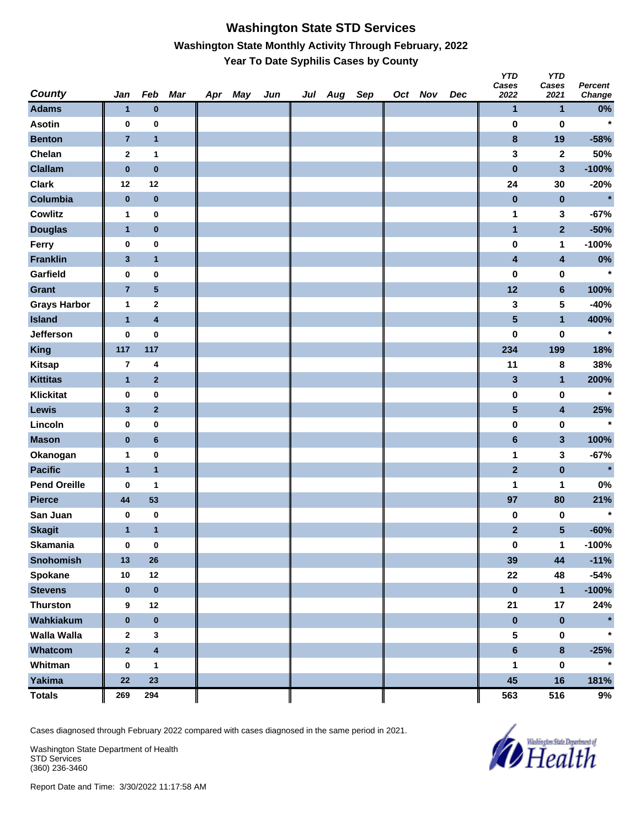#### **Washington State STD Services Washington State Monthly Activity Through February, 2022 Year To Date Syphilis Cases by County**

| <b>County</b>       | Jan                     | Feb                     | Mar | Apr May | Jun | Jul Aug | Sep | Oct Nov | Dec | YID<br>Cases<br>2022    | טוץ<br>Cases<br>2021 | <b>Percent</b><br>Change |
|---------------------|-------------------------|-------------------------|-----|---------|-----|---------|-----|---------|-----|-------------------------|----------------------|--------------------------|
| <b>Adams</b>        | $\mathbf{1}$            | $\bf{0}$                |     |         |     |         |     |         |     | 1                       | $\mathbf{1}$         | $0\%$                    |
| <b>Asotin</b>       | 0                       | $\bf{0}$                |     |         |     |         |     |         |     | $\pmb{0}$               | 0                    | $\star$                  |
| <b>Benton</b>       | $\overline{7}$          | $\mathbf{1}$            |     |         |     |         |     |         |     | $\bf{8}$                | 19                   | $-58%$                   |
| Chelan              | 2                       | $\mathbf{1}$            |     |         |     |         |     |         |     | 3                       | $\mathbf 2$          | 50%                      |
| <b>Clallam</b>      | $\bf{0}$                | $\pmb{0}$               |     |         |     |         |     |         |     | $\pmb{0}$               | 3                    | $-100%$                  |
| <b>Clark</b>        | 12                      | 12                      |     |         |     |         |     |         |     | 24                      | 30                   | $-20%$                   |
| Columbia            | $\pmb{0}$               | $\bf{0}$                |     |         |     |         |     |         |     | $\pmb{0}$               | $\pmb{0}$            | $\star$                  |
| <b>Cowlitz</b>      | 1                       | $\pmb{0}$               |     |         |     |         |     |         |     | 1                       | 3                    | $-67%$                   |
| <b>Douglas</b>      | $\mathbf{1}$            | $\bf{0}$                |     |         |     |         |     |         |     | $\blacksquare$          | $\overline{2}$       | $-50%$                   |
| Ferry               | 0                       | $\pmb{0}$               |     |         |     |         |     |         |     | $\pmb{0}$               | 1                    | $-100%$                  |
| <b>Franklin</b>     | $\mathbf{3}$            | $\mathbf{1}$            |     |         |     |         |     |         |     | 4                       | 4                    | $0\%$                    |
| Garfield            | 0                       | $\pmb{0}$               |     |         |     |         |     |         |     | $\bf{0}$                | 0                    | $\star$                  |
| <b>Grant</b>        | $\overline{7}$          | 5                       |     |         |     |         |     |         |     | 12                      | $6\phantom{1}$       | 100%                     |
| <b>Grays Harbor</b> | 1                       | $\mathbf 2$             |     |         |     |         |     |         |     | 3                       | 5                    | $-40%$                   |
| <b>Island</b>       | $\mathbf{1}$            | $\overline{\mathbf{4}}$ |     |         |     |         |     |         |     | $\overline{\mathbf{5}}$ | $\mathbf{1}$         | 400%                     |
| <b>Jefferson</b>    | 0                       | $\pmb{0}$               |     |         |     |         |     |         |     | $\bf{0}$                | $\pmb{0}$            | $\star$                  |
| King                | 117                     | 117                     |     |         |     |         |     |         |     | 234                     | 199                  | 18%                      |
| <b>Kitsap</b>       | $\overline{\mathbf{r}}$ | $\overline{\mathbf{4}}$ |     |         |     |         |     |         |     | 11                      | 8                    | 38%                      |
| <b>Kittitas</b>     | $\mathbf{1}$            | $\overline{2}$          |     |         |     |         |     |         |     | $\mathbf{3}$            | $\mathbf{1}$         | 200%                     |
| <b>Klickitat</b>    | 0                       | $\pmb{0}$               |     |         |     |         |     |         |     | $\pmb{0}$               | $\pmb{0}$            | $\star$                  |
| Lewis               | 3                       | $\overline{2}$          |     |         |     |         |     |         |     | ${\bf 5}$               | 4                    | 25%                      |
| Lincoln             | 0                       | 0                       |     |         |     |         |     |         |     | $\pmb{0}$               | 0                    | $\star$                  |
| <b>Mason</b>        | $\pmb{0}$               | $6\phantom{1}6$         |     |         |     |         |     |         |     | $6\phantom{1}$          | $\mathbf{3}$         | 100%                     |
| Okanogan            | 1                       | $\pmb{0}$               |     |         |     |         |     |         |     | 1                       | 3                    | $-67%$                   |
| <b>Pacific</b>      | $\mathbf{1}$            | $\mathbf{1}$            |     |         |     |         |     |         |     | $\overline{2}$          | $\pmb{0}$            | $\star$                  |
| <b>Pend Oreille</b> | 0                       | 1                       |     |         |     |         |     |         |     | 1                       | 1                    | 0%                       |
| <b>Pierce</b>       | 44                      | 53                      |     |         |     |         |     |         |     | 97                      | 80                   | 21%                      |
| San Juan            | 0                       | $\bf{0}$                |     |         |     |         |     |         |     | 0                       | 0                    | $\star$                  |
| <b>Skagit</b>       | $\mathbf{1}$            | $\mathbf{1}$            |     |         |     |         |     |         |     | $\mathbf{2}$            | $5\phantom{.0}$      | $-60%$                   |
| Skamania            | 0                       | $\bf{0}$                |     |         |     |         |     |         |     | $\pmb{0}$               | $\mathbf{1}$         | $-100%$                  |
| <b>Snohomish</b>    | 13                      | $26\phantom{.}$         |     |         |     |         |     |         |     | 39                      | 44                   | $-11%$                   |
| Spokane             | 10                      | 12                      |     |         |     |         |     |         |     | 22                      | 48                   | $-54%$                   |
| <b>Stevens</b>      | $\bf{0}$                | $\pmb{0}$               |     |         |     |         |     |         |     | $\pmb{0}$               | $\mathbf{1}$         | $-100%$                  |
| <b>Thurston</b>     | 9                       | 12                      |     |         |     |         |     |         |     | 21                      | 17                   | 24%                      |
| Wahkiakum           | $\pmb{0}$               | $\pmb{0}$               |     |         |     |         |     |         |     | $\pmb{0}$               | $\pmb{0}$            | $\star$                  |
| <b>Walla Walla</b>  | $\mathbf 2$             | $\mathbf 3$             |     |         |     |         |     |         |     | ${\bf 5}$               | $\pmb{0}$            | $\star$                  |
| Whatcom             | $\mathbf 2$             | $\overline{\mathbf{4}}$ |     |         |     |         |     |         |     | $\bf 6$                 | $\pmb{8}$            | $-25%$                   |
| Whitman             | $\pmb{0}$               | $\mathbf{1}$            |     |         |     |         |     |         |     | 1                       | $\pmb{0}$            | $\star$                  |
| Yakima              | 22                      | 23                      |     |         |     |         |     |         |     | 45                      | 16                   | 181%                     |
| <b>Totals</b>       | 269                     | 294                     |     |         |     |         |     |         |     | 563                     | 516                  | 9%                       |

Cases diagnosed through February 2022 compared with cases diagnosed in the same period in 2021.

Washington State Department of Health STD Services (360) 236-3460



*Y* 

*YTD*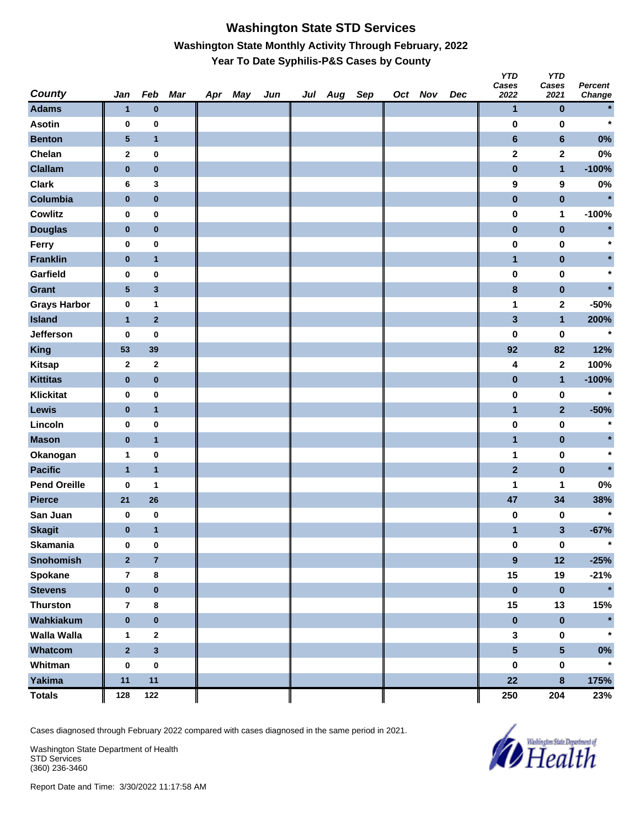# **Washington State STD Services Washington State Monthly Activity Through February, 2022 Year To Date Syphilis-P&S Cases by County**

| <b>County</b>       | Jan                     | Feb              | Mar | Apr May | Jun | Jul Aug Sep |  | Oct Nov | Dec | <b>YTD</b><br>Cases<br>2022 | <b>YTD</b><br>Cases<br>2021 | <b>Percent</b><br>Change |
|---------------------|-------------------------|------------------|-----|---------|-----|-------------|--|---------|-----|-----------------------------|-----------------------------|--------------------------|
| <b>Adams</b>        | $\mathbf{1}$            | $\bf{0}$         |     |         |     |             |  |         |     | $\mathbf{1}$                | $\bf{0}$                    | $\star$                  |
| <b>Asotin</b>       | 0                       | $\pmb{0}$        |     |         |     |             |  |         |     | $\bf{0}$                    | $\bf{0}$                    | $\star$                  |
| <b>Benton</b>       | 5                       | $\mathbf{1}$     |     |         |     |             |  |         |     | $\bf 6$                     | $6\phantom{a}$              | 0%                       |
| Chelan              | $\mathbf{2}$            | $\pmb{0}$        |     |         |     |             |  |         |     | $\mathbf 2$                 | $\mathbf 2$                 | $0\%$                    |
| <b>Clallam</b>      | $\pmb{0}$               | $\pmb{0}$        |     |         |     |             |  |         |     | $\pmb{0}$                   | $\mathbf{1}$                | $-100%$                  |
| <b>Clark</b>        | 6                       | 3                |     |         |     |             |  |         |     | 9                           | 9                           | $0\%$                    |
| Columbia            | $\pmb{0}$               | $\pmb{0}$        |     |         |     |             |  |         |     | $\pmb{0}$                   | $\pmb{0}$                   | $\star$                  |
| <b>Cowlitz</b>      | 0                       | $\bf{0}$         |     |         |     |             |  |         |     | $\pmb{0}$                   | 1                           | $-100%$                  |
| <b>Douglas</b>      | $\pmb{0}$               | $\pmb{0}$        |     |         |     |             |  |         |     | $\pmb{0}$                   | $\pmb{0}$                   | $\star$                  |
| Ferry               | 0                       | $\pmb{0}$        |     |         |     |             |  |         |     | $\pmb{0}$                   | $\pmb{0}$                   | $\ast$                   |
| <b>Franklin</b>     | $\pmb{0}$               | $\mathbf{1}$     |     |         |     |             |  |         |     | $\mathbf{1}$                | $\pmb{0}$                   |                          |
| Garfield            | 0                       | $\pmb{0}$        |     |         |     |             |  |         |     | $\pmb{0}$                   | 0                           | $\star$                  |
| <b>Grant</b>        | $\sqrt{5}$              | $\mathbf{3}$     |     |         |     |             |  |         |     | $\bf8$                      | $\pmb{0}$                   |                          |
| <b>Grays Harbor</b> | $\pmb{0}$               | 1                |     |         |     |             |  |         |     | 1                           | $\mathbf 2$                 | $-50%$                   |
| <b>Island</b>       | $\mathbf{1}$            | $\mathbf 2$      |     |         |     |             |  |         |     | $\mathbf{3}$                | $\mathbf{1}$                | 200%                     |
| Jefferson           | 0                       | $\bf{0}$         |     |         |     |             |  |         |     | 0                           | 0                           | $\star$                  |
| <b>King</b>         | 53                      | 39               |     |         |     |             |  |         |     | 92                          | 82                          | 12%                      |
| <b>Kitsap</b>       | $\mathbf{2}$            | $\mathbf{2}$     |     |         |     |             |  |         |     | 4                           | $\mathbf{2}$                | 100%                     |
| <b>Kittitas</b>     | $\pmb{0}$               | $\pmb{0}$        |     |         |     |             |  |         |     | $\pmb{0}$                   | $\mathbf{1}$                | $-100%$                  |
| <b>Klickitat</b>    | $\pmb{0}$               | $\pmb{0}$        |     |         |     |             |  |         |     | $\pmb{0}$                   | $\pmb{0}$                   | $\star$                  |
| <b>Lewis</b>        | $\bf{0}$                | $\mathbf{1}$     |     |         |     |             |  |         |     | $\mathbf{1}$                | $\overline{2}$              | $-50%$                   |
| Lincoln             | 0                       | $\pmb{0}$        |     |         |     |             |  |         |     | $\pmb{0}$                   | $\pmb{0}$                   | $\star$                  |
| <b>Mason</b>        | $\bf{0}$                | $\mathbf{1}$     |     |         |     |             |  |         |     | $\mathbf{1}$                | $\pmb{0}$                   |                          |
| Okanogan            | $\mathbf{1}$            | $\pmb{0}$        |     |         |     |             |  |         |     | 1                           | $\pmb{0}$                   | $\star$                  |
| <b>Pacific</b>      | $\mathbf{1}$            | $\mathbf{1}$     |     |         |     |             |  |         |     | $\overline{2}$              | $\pmb{0}$                   |                          |
| <b>Pend Oreille</b> | 0                       | 1                |     |         |     |             |  |         |     | 1                           | 1                           | $0\%$                    |
| <b>Pierce</b>       | 21                      | 26               |     |         |     |             |  |         |     | 47                          | 34                          | 38%                      |
| San Juan            | 0                       | $\pmb{0}$        |     |         |     |             |  |         |     | 0                           | 0                           | $\star$                  |
| <b>Skagit</b>       | $\bf{0}$                | $\mathbf{1}$     |     |         |     |             |  |         |     | 1                           | 3                           | $-67%$                   |
| <b>Skamania</b>     | $\bf{0}$                | $\pmb{0}$        |     |         |     |             |  |         |     | $\pmb{0}$                   | $\pmb{0}$                   | $\star$                  |
| Snohomish           | $\overline{2}$          | $\overline{7}$   |     |         |     |             |  |         |     | $\boldsymbol{9}$            | 12                          | $-25%$                   |
| Spokane             | $\overline{7}$          | $\pmb{8}$        |     |         |     |             |  |         |     | 15                          | 19                          | $-21%$                   |
| <b>Stevens</b>      | $\pmb{0}$               | $\pmb{0}$        |     |         |     |             |  |         |     | $\pmb{0}$                   | $\pmb{0}$                   | $\star$                  |
| <b>Thurston</b>     | $\overline{\mathbf{r}}$ | $\pmb{8}$        |     |         |     |             |  |         |     | 15                          | 13                          | 15%                      |
| Wahkiakum           | $\pmb{0}$               | $\pmb{0}$        |     |         |     |             |  |         |     | $\pmb{0}$                   | $\pmb{0}$                   |                          |
| Walla Walla         | 1                       | $\boldsymbol{2}$ |     |         |     |             |  |         |     | 3                           | $\pmb{0}$                   | $\star$                  |
| Whatcom             | $\overline{\mathbf{2}}$ | $\mathbf{3}$     |     |         |     |             |  |         |     | $5\phantom{a}$              | $5\phantom{.0}$             | $0\%$                    |
| Whitman             | $\pmb{0}$               | $\pmb{0}$        |     |         |     |             |  |         |     | $\pmb{0}$                   | $\pmb{0}$                   | $\star$                  |
| <b>Yakima</b>       | 11                      | 11               |     |         |     |             |  |         |     | 22                          | $\bf{8}$                    | 175%                     |
| <b>Totals</b>       | 128                     | 122              |     |         |     |             |  |         |     | 250                         | 204                         | 23%                      |

Cases diagnosed through February 2022 compared with cases diagnosed in the same period in 2021.

Washington State Department of Health STD Services (360) 236-3460

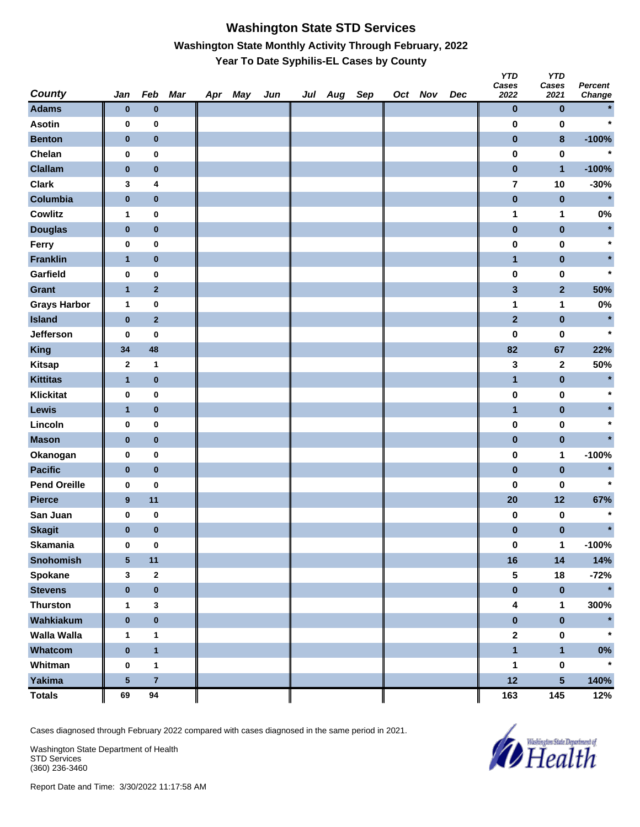# **Washington State STD Services Washington State Monthly Activity Through February, 2022 Year To Date Syphilis-EL Cases by County**

| <b>County</b>       | Jan              | Feb                     | Mar | Apr May | Jun | Jul Aug Sep |  | Oct Nov | Dec | <b>YTD</b><br>Cases<br>2022 | <b>YTD</b><br>Cases<br>2021 | <b>Percent</b><br>Change |
|---------------------|------------------|-------------------------|-----|---------|-----|-------------|--|---------|-----|-----------------------------|-----------------------------|--------------------------|
| <b>Adams</b>        | $\bf{0}$         | $\bf{0}$                |     |         |     |             |  |         |     | $\pmb{0}$                   | $\bf{0}$                    |                          |
| <b>Asotin</b>       | $\bf{0}$         | $\pmb{0}$               |     |         |     |             |  |         |     | 0                           | 0                           | $\star$                  |
| <b>Benton</b>       | $\pmb{0}$        | $\pmb{0}$               |     |         |     |             |  |         |     | $\pmb{0}$                   | $\pmb{8}$                   | $-100%$                  |
| Chelan              | $\bf{0}$         | $\pmb{0}$               |     |         |     |             |  |         |     | $\pmb{0}$                   | $\pmb{0}$                   | $\star$                  |
| <b>Clallam</b>      | $\pmb{0}$        | $\pmb{0}$               |     |         |     |             |  |         |     | $\pmb{0}$                   | $\mathbf{1}$                | $-100%$                  |
| <b>Clark</b>        | 3                | 4                       |     |         |     |             |  |         |     | $\overline{\mathbf{r}}$     | 10                          | $-30%$                   |
| Columbia            | $\pmb{0}$        | $\pmb{0}$               |     |         |     |             |  |         |     | $\pmb{0}$                   | $\pmb{0}$                   | $\star$                  |
| Cowlitz             | 1                | $\bf{0}$                |     |         |     |             |  |         |     | 1                           | 1                           | $0\%$                    |
| <b>Douglas</b>      | $\pmb{0}$        | $\pmb{0}$               |     |         |     |             |  |         |     | $\pmb{0}$                   | $\pmb{0}$                   | $\star$                  |
| Ferry               | 0                | $\pmb{0}$               |     |         |     |             |  |         |     | 0                           | $\pmb{0}$                   |                          |
| <b>Franklin</b>     | $\mathbf{1}$     | $\pmb{0}$               |     |         |     |             |  |         |     | $\mathbf{1}$                | $\pmb{0}$                   |                          |
| Garfield            | $\bf{0}$         | $\pmb{0}$               |     |         |     |             |  |         |     | $\pmb{0}$                   | 0                           | $\star$                  |
| <b>Grant</b>        | $\mathbf{1}$     | $\mathbf{2}$            |     |         |     |             |  |         |     | $\mathbf{3}$                | $\mathbf{2}$                | 50%                      |
| <b>Grays Harbor</b> | $\mathbf{1}$     | $\pmb{0}$               |     |         |     |             |  |         |     | 1                           | 1                           | 0%                       |
| <b>Island</b>       | $\pmb{0}$        | $\overline{2}$          |     |         |     |             |  |         |     | $\overline{2}$              | $\pmb{0}$                   | $\star$                  |
| Jefferson           | 0                | 0                       |     |         |     |             |  |         |     | $\pmb{0}$                   | $\pmb{0}$                   | $\star$                  |
| <b>King</b>         | 34               | 48                      |     |         |     |             |  |         |     | 82                          | 67                          | 22%                      |
| <b>Kitsap</b>       | $\mathbf{2}$     | 1                       |     |         |     |             |  |         |     | 3                           | $\mathbf{2}$                | 50%                      |
| <b>Kittitas</b>     | 1                | $\pmb{0}$               |     |         |     |             |  |         |     | $\mathbf{1}$                | $\pmb{0}$                   | $\star$                  |
| <b>Klickitat</b>    | $\pmb{0}$        | $\pmb{0}$               |     |         |     |             |  |         |     | $\pmb{0}$                   | $\pmb{0}$                   | $\star$                  |
| Lewis               | $\mathbf{1}$     | $\pmb{0}$               |     |         |     |             |  |         |     | $\mathbf{1}$                | $\pmb{0}$                   |                          |
| Lincoln             | $\bf{0}$         | $\pmb{0}$               |     |         |     |             |  |         |     | $\pmb{0}$                   | 0                           |                          |
| <b>Mason</b>        | $\pmb{0}$        | $\pmb{0}$               |     |         |     |             |  |         |     | $\pmb{0}$                   | $\pmb{0}$                   |                          |
| Okanogan            | $\bf{0}$         | $\pmb{0}$               |     |         |     |             |  |         |     | $\pmb{0}$                   | 1                           | $-100%$                  |
| <b>Pacific</b>      | $\pmb{0}$        | $\pmb{0}$               |     |         |     |             |  |         |     | $\pmb{0}$                   | $\pmb{0}$                   | $\star$                  |
| <b>Pend Oreille</b> | 0                | 0                       |     |         |     |             |  |         |     | 0                           | 0                           | $\star$                  |
| <b>Pierce</b>       | $\boldsymbol{9}$ | 11                      |     |         |     |             |  |         |     | 20                          | 12                          | 67%                      |
| San Juan            | 0                | $\pmb{0}$               |     |         |     |             |  |         |     | 0                           | 0                           |                          |
| <b>Skagit</b>       | $\bf{0}$         | $\bf{0}$                |     |         |     |             |  |         |     | $\pmb{0}$                   | $\pmb{0}$                   | $\star$                  |
| <b>Skamania</b>     | $\bf{0}$         | $\pmb{0}$               |     |         |     |             |  |         |     | $\pmb{0}$                   | $\mathbf 1$                 | $-100%$                  |
| <b>Snohomish</b>    | $\sqrt{5}$       | 11                      |     |         |     |             |  |         |     | 16                          | 14                          | 14%                      |
| Spokane             | 3                | $\mathbf 2$             |     |         |     |             |  |         |     | 5                           | 18                          | $-72%$                   |
| <b>Stevens</b>      | $\pmb{0}$        | $\pmb{0}$               |     |         |     |             |  |         |     | $\pmb{0}$                   | $\pmb{0}$                   | $\star$                  |
| <b>Thurston</b>     | $\mathbf{1}$     | 3                       |     |         |     |             |  |         |     | 4                           | 1                           | 300%                     |
| Wahkiakum           | $\pmb{0}$        | $\pmb{0}$               |     |         |     |             |  |         |     | $\pmb{0}$                   | $\pmb{0}$                   |                          |
| Walla Walla         | 1                | 1                       |     |         |     |             |  |         |     | $\mathbf 2$                 | $\pmb{0}$                   |                          |
| Whatcom             | $\pmb{0}$        | $\mathbf{1}$            |     |         |     |             |  |         |     | $\blacksquare$              | $\mathbf{1}$                | $0\%$                    |
| Whitman             | $\bf{0}$         | $\mathbf{1}$            |     |         |     |             |  |         |     | 1                           | $\pmb{0}$                   | $\star$                  |
| <b>Yakima</b>       | ${\bf 5}$        | $\overline{\mathbf{7}}$ |     |         |     |             |  |         |     | 12                          | $5\phantom{.0}$             | 140%                     |
| <b>Totals</b>       | 69               | 94                      |     |         |     |             |  |         |     | 163                         | 145                         | 12%                      |

Cases diagnosed through February 2022 compared with cases diagnosed in the same period in 2021.

Washington State Department of Health STD Services (360) 236-3460

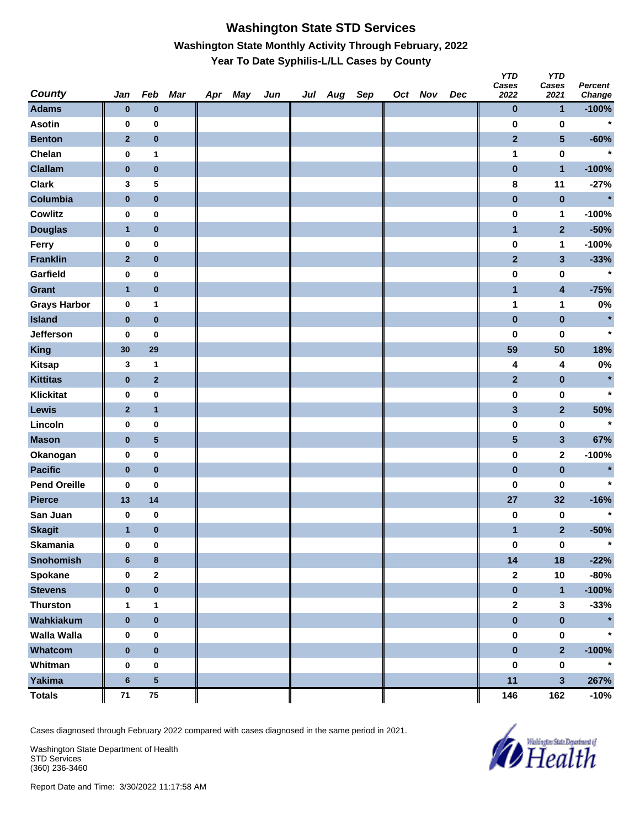#### **Washington State STD Services Washington State Monthly Activity Through February, 2022 Year To Date Syphilis-L/LL Cases by County**

| <b>County</b>       | Jan            | Feb                     | Mar | Apr May | Jun | Jul Aug Sep |  | Oct Nov | Dec | <b>YTD</b><br>Cases<br>2022 | <b>YTD</b><br>Cases<br>2021 | <b>Percent</b><br>Change |
|---------------------|----------------|-------------------------|-----|---------|-----|-------------|--|---------|-----|-----------------------------|-----------------------------|--------------------------|
| <b>Adams</b>        | $\bf{0}$       | $\bf{0}$                |     |         |     |             |  |         |     | 0                           | 1                           | $-100%$                  |
| <b>Asotin</b>       | $\pmb{0}$      | $\pmb{0}$               |     |         |     |             |  |         |     | 0                           | $\bf{0}$                    | $\star$                  |
| <b>Benton</b>       | $\mathbf{2}$   | $\pmb{0}$               |     |         |     |             |  |         |     | $\mathbf{2}$                | 5                           | $-60%$                   |
| Chelan              | $\pmb{0}$      | 1                       |     |         |     |             |  |         |     | 1                           | $\bf{0}$                    | $\star$                  |
| <b>Clallam</b>      | $\bf{0}$       | $\pmb{0}$               |     |         |     |             |  |         |     | $\bf{0}$                    | $\mathbf{1}$                | $-100%$                  |
| <b>Clark</b>        | 3              | 5                       |     |         |     |             |  |         |     | 8                           | 11                          | $-27%$                   |
| Columbia            | $\pmb{0}$      | $\pmb{0}$               |     |         |     |             |  |         |     | $\pmb{0}$                   | $\bf{0}$                    | $\star$                  |
| <b>Cowlitz</b>      | 0              | $\mathbf 0$             |     |         |     |             |  |         |     | $\pmb{0}$                   | 1                           | $-100%$                  |
| <b>Douglas</b>      | $\mathbf{1}$   | $\bf{0}$                |     |         |     |             |  |         |     | 1                           | $\mathbf{2}$                | $-50%$                   |
| Ferry               | 0              | $\pmb{0}$               |     |         |     |             |  |         |     | $\pmb{0}$                   | 1                           | $-100%$                  |
| <b>Franklin</b>     | $\mathbf{2}$   | $\pmb{0}$               |     |         |     |             |  |         |     | $\mathbf{2}$                | 3                           | $-33%$                   |
| Garfield            | $\pmb{0}$      | $\pmb{0}$               |     |         |     |             |  |         |     | 0                           | 0                           | $\star$                  |
| <b>Grant</b>        | $\mathbf{1}$   | $\pmb{0}$               |     |         |     |             |  |         |     | $\mathbf{1}$                | 4                           | $-75%$                   |
| <b>Grays Harbor</b> | $\pmb{0}$      | 1                       |     |         |     |             |  |         |     | 1                           | 1                           | 0%                       |
| <b>Island</b>       | $\pmb{0}$      | $\pmb{0}$               |     |         |     |             |  |         |     | $\pmb{0}$                   | $\pmb{0}$                   | $\star$                  |
| <b>Jefferson</b>    | 0              | 0                       |     |         |     |             |  |         |     | 0                           | 0                           | $\star$                  |
| <b>King</b>         | 30             | 29                      |     |         |     |             |  |         |     | 59                          | 50                          | 18%                      |
| <b>Kitsap</b>       | 3              | 1                       |     |         |     |             |  |         |     | 4                           | 4                           | 0%                       |
| <b>Kittitas</b>     | $\pmb{0}$      | $\mathbf 2$             |     |         |     |             |  |         |     | $\mathbf{2}$                | 0                           | $\star$                  |
| <b>Klickitat</b>    | $\pmb{0}$      | $\pmb{0}$               |     |         |     |             |  |         |     | $\pmb{0}$                   | $\pmb{0}$                   | $\star$                  |
| <b>Lewis</b>        | $\mathbf{2}$   | $\mathbf{1}$            |     |         |     |             |  |         |     | 3                           | $\overline{\mathbf{2}}$     | 50%                      |
| Lincoln             | $\pmb{0}$      | $\pmb{0}$               |     |         |     |             |  |         |     | 0                           | $\bf{0}$                    | $\star$                  |
| <b>Mason</b>        | $\bf{0}$       | $\overline{\mathbf{5}}$ |     |         |     |             |  |         |     | 5                           | 3                           | 67%                      |
| Okanogan            | $\pmb{0}$      | $\pmb{0}$               |     |         |     |             |  |         |     | $\pmb{0}$                   | 2                           | $-100%$                  |
| <b>Pacific</b>      | $\bf{0}$       | $\pmb{0}$               |     |         |     |             |  |         |     | $\pmb{0}$                   | $\pmb{0}$                   | $\star$                  |
| <b>Pend Oreille</b> | 0              | 0                       |     |         |     |             |  |         |     | 0                           | 0                           | $\star$                  |
| <b>Pierce</b>       | 13             | 14                      |     |         |     |             |  |         |     | 27                          | 32                          | $-16%$                   |
| San Juan            | 0              | $\pmb{0}$               |     |         |     |             |  |         |     | $\bf{0}$                    | 0                           | $\star$                  |
| <b>Skagit</b>       | $\mathbf{1}$   | $\pmb{0}$               |     |         |     |             |  |         |     | 1                           | $\overline{\mathbf{2}}$     | $-50%$                   |
| <b>Skamania</b>     | $\pmb{0}$      | $\mathbf 0$             |     |         |     |             |  |         |     | $\pmb{0}$                   | $\pmb{0}$                   | $\star$                  |
| <b>Snohomish</b>    | $6\phantom{1}$ | 8                       |     |         |     |             |  |         |     | 14                          | 18                          | $-22%$                   |
| Spokane             | $\pmb{0}$      | $\mathbf 2$             |     |         |     |             |  |         |     | 2                           | $10$                        | $-80%$                   |
| <b>Stevens</b>      | $\bf{0}$       | $\pmb{0}$               |     |         |     |             |  |         |     | $\mathbf 0$                 | $\mathbf{1}$                | $-100%$                  |
| <b>Thurston</b>     | $\mathbf{1}$   | 1                       |     |         |     |             |  |         |     | $\mathbf{2}$                | 3                           | $-33%$                   |
| Wahkiakum           | $\pmb{0}$      | $\pmb{0}$               |     |         |     |             |  |         |     | $\pmb{0}$                   | $\pmb{0}$                   | $\star$                  |
| <b>Walla Walla</b>  | 0              | 0                       |     |         |     |             |  |         |     | 0                           | $\pmb{0}$                   |                          |
| Whatcom             | $\pmb{0}$      | $\pmb{0}$               |     |         |     |             |  |         |     | $\bf{0}$                    | $\overline{\mathbf{2}}$     | $-100%$                  |
| Whitman             | $\pmb{0}$      | $\pmb{0}$               |     |         |     |             |  |         |     | $\pmb{0}$                   | $\pmb{0}$                   | $\star$                  |
| <b>Yakima</b>       | $\bf 6$        | $\overline{\mathbf{5}}$ |     |         |     |             |  |         |     | 11                          | 3                           | 267%                     |
| <b>Totals</b>       | $\bf 71$       | ${\bf 75}$              |     |         |     |             |  |         |     | 146                         | 162                         | $-10%$                   |

Cases diagnosed through February 2022 compared with cases diagnosed in the same period in 2021.

Washington State Department of Health STD Services (360) 236-3460